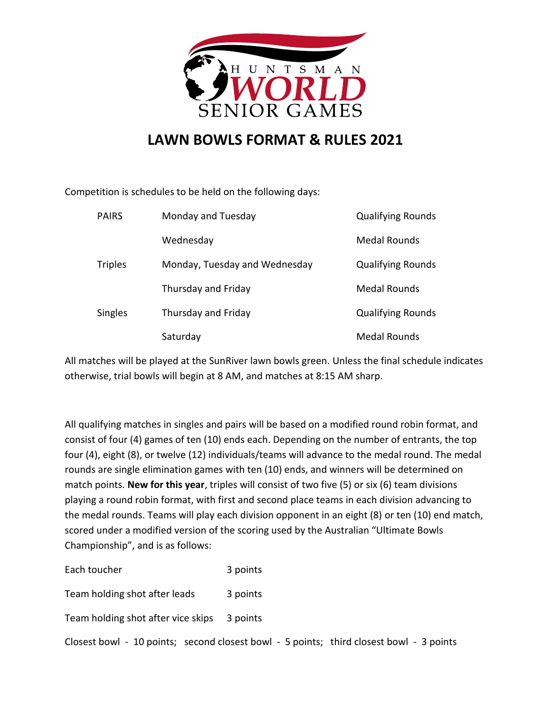

## **LAWN BOWLS FORMAT & RULES 2021**

Competition is schedules to be held on the following days:

| <b>PAIRS</b>   | Monday and Tuesday            | <b>Qualifying Rounds</b> |
|----------------|-------------------------------|--------------------------|
|                | Wednesday                     | <b>Medal Rounds</b>      |
| <b>Triples</b> | Monday, Tuesday and Wednesday | <b>Qualifying Rounds</b> |
|                | Thursday and Friday           | <b>Medal Rounds</b>      |
| Singles        | Thursday and Friday           | <b>Qualifying Rounds</b> |
|                | Saturday                      | <b>Medal Rounds</b>      |

All matches will be played at the SunRiver lawn bowls green. Unless the final schedule indicates otherwise, trial bowls will begin at 8 AM, and matches at 8:15 AM sharp.

All qualifying matches in singles and pairs will be based on a modified round robin format, and consist of four (4) games of ten (10) ends each. Depending on the number of entrants, the top four (4), eight (8), or twelve (12) individuals/teams will advance to the medal round. The medal rounds are single elimination games with ten (10) ends, and winners will be determined on match points. **New for this year**, triples will consist of two five (5) or six (6) team divisions playing a round robin format, with first and second place teams in each division advancing to the medal rounds. Teams will play each division opponent in an eight (8) or ten (10) end match, scored under a modified version of the scoring used by the Australian "Ultimate Bowls Championship", and is as follows:

| Each toucher                                                                            | 3 points |  |
|-----------------------------------------------------------------------------------------|----------|--|
| Team holding shot after leads                                                           | 3 points |  |
| Team holding shot after vice skips 3 points                                             |          |  |
| Closest bowl - 10 points; second closest bowl - 5 points; third closest bowl - 3 points |          |  |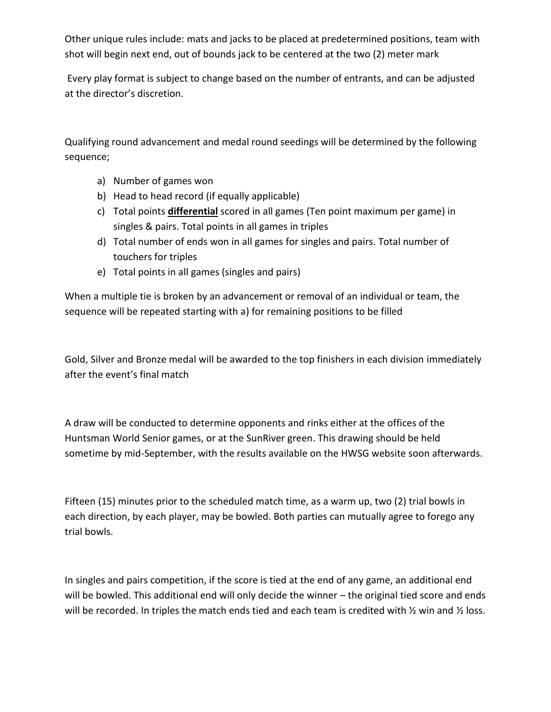Other unique rules include: mats and jacks to be placed at predetermined positions, team with shot will begin next end, out of bounds jack to be centered at the two (2) meter mark

Every play format is subject to change based on the number of entrants, and can be adjusted at the director's discretion.

Qualifying round advancement and medal round seedings will be determined by the following sequence;

- a) Number of games won
- b) Head to head record (if equally applicable)
- c) Total points **differential** scored in all games (Ten point maximum per game) in singles & pairs. Total points in all games in triples
- d) Total number of ends won in all games for singles and pairs. Total number of touchers for triples
- e) Total points in all games (singles and pairs)

When a multiple tie is broken by an advancement or removal of an individual or team, the sequence will be repeated starting with a) for remaining positions to be filled

Gold, Silver and Bronze medal will be awarded to the top finishers in each division immediately after the event's final match

A draw will be conducted to determine opponents and rinks either at the offices of the Huntsman World Senior games, or at the SunRiver green. This drawing should be held sometime by mid-September, with the results available on the HWSG website soon afterwards.

Fifteen (15) minutes prior to the scheduled match time, as a warm up, two (2) trial bowls in each direction, by each player, may be bowled. Both parties can mutually agree to forego any trial bowls.

In singles and pairs competition, if the score is tied at the end of any game, an additional end will be bowled. This additional end will only decide the winner – the original tied score and ends will be recorded. In triples the match ends tied and each team is credited with  $\frac{1}{2}$  win and  $\frac{1}{2}$  loss.